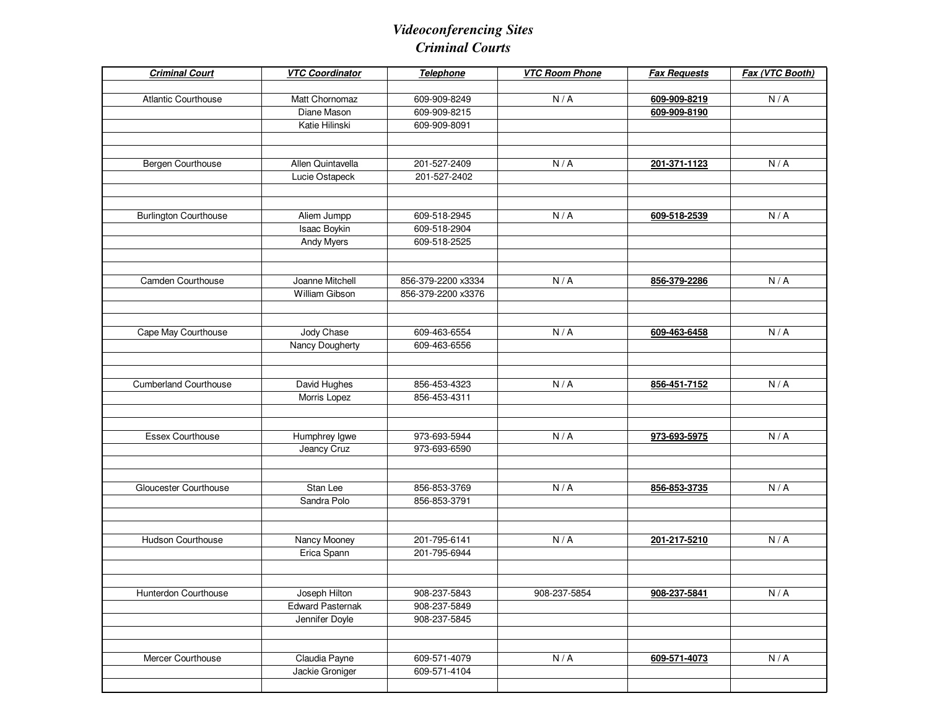## *Videoconferencing SitesCriminal Courts*

| <b>Criminal Court</b>        | <b>VTC Coordinator</b>  | Telephone          | <b>VTC Room Phone</b> | <b>Fax Requests</b> | Fax (VTC Booth) |
|------------------------------|-------------------------|--------------------|-----------------------|---------------------|-----------------|
| <b>Atlantic Courthouse</b>   | Matt Chornomaz          | 609-909-8249       | N/A                   | 609-909-8219        | N/A             |
|                              | Diane Mason             | 609-909-8215       |                       | 609-909-8190        |                 |
|                              | Katie Hilinski          | 609-909-8091       |                       |                     |                 |
|                              |                         |                    |                       |                     |                 |
| Bergen Courthouse            | Allen Quintavella       | 201-527-2409       | N/A                   | 201-371-1123        | N/A             |
|                              | Lucie Ostapeck          | 201-527-2402       |                       |                     |                 |
|                              |                         |                    |                       |                     |                 |
| <b>Burlington Courthouse</b> | Aliem Jumpp             | 609-518-2945       | N/A                   | 609-518-2539        | N/A             |
|                              | Isaac Boykin            | 609-518-2904       |                       |                     |                 |
|                              | Andy Myers              | 609-518-2525       |                       |                     |                 |
|                              |                         |                    |                       |                     |                 |
| Camden Courthouse            | Joanne Mitchell         | 856-379-2200 x3334 | N/A                   | 856-379-2286        | N/A             |
|                              | William Gibson          | 856-379-2200 x3376 |                       |                     |                 |
|                              |                         |                    |                       |                     |                 |
| Cape May Courthouse          | Jody Chase              | 609-463-6554       | N/A                   | 609-463-6458        | N/A             |
|                              | Nancy Dougherty         | 609-463-6556       |                       |                     |                 |
|                              |                         |                    |                       |                     |                 |
|                              |                         |                    |                       |                     |                 |
| <b>Cumberland Courthouse</b> | David Hughes            | 856-453-4323       | N/A                   | 856-451-7152        | N/A             |
|                              | Morris Lopez            | 856-453-4311       |                       |                     |                 |
|                              |                         |                    |                       |                     |                 |
| <b>Essex Courthouse</b>      | Humphrey Igwe           | 973-693-5944       | N/A                   | 973-693-5975        | N/A             |
|                              | Jeancy Cruz             | 973-693-6590       |                       |                     |                 |
|                              |                         |                    |                       |                     |                 |
| Gloucester Courthouse        | Stan Lee                | 856-853-3769       | N/A                   | 856-853-3735        | N/A             |
|                              | Sandra Polo             | 856-853-3791       |                       |                     |                 |
|                              |                         |                    |                       |                     |                 |
| Hudson Courthouse            | Nancy Mooney            | 201-795-6141       | N/A                   | 201-217-5210        | N/A             |
|                              | Erica Spann             | 201-795-6944       |                       |                     |                 |
|                              |                         |                    |                       |                     |                 |
| Hunterdon Courthouse         | Joseph Hilton           | 908-237-5843       | 908-237-5854          | 908-237-5841        | N/A             |
|                              | <b>Edward Pasternak</b> | 908-237-5849       |                       |                     |                 |
|                              | Jennifer Doyle          | 908-237-5845       |                       |                     |                 |
|                              |                         |                    |                       |                     |                 |
| Mercer Courthouse            | Claudia Payne           | 609-571-4079       | N/A                   | 609-571-4073        | N/A             |
|                              | Jackie Groniger         | 609-571-4104       |                       |                     |                 |
|                              |                         |                    |                       |                     |                 |